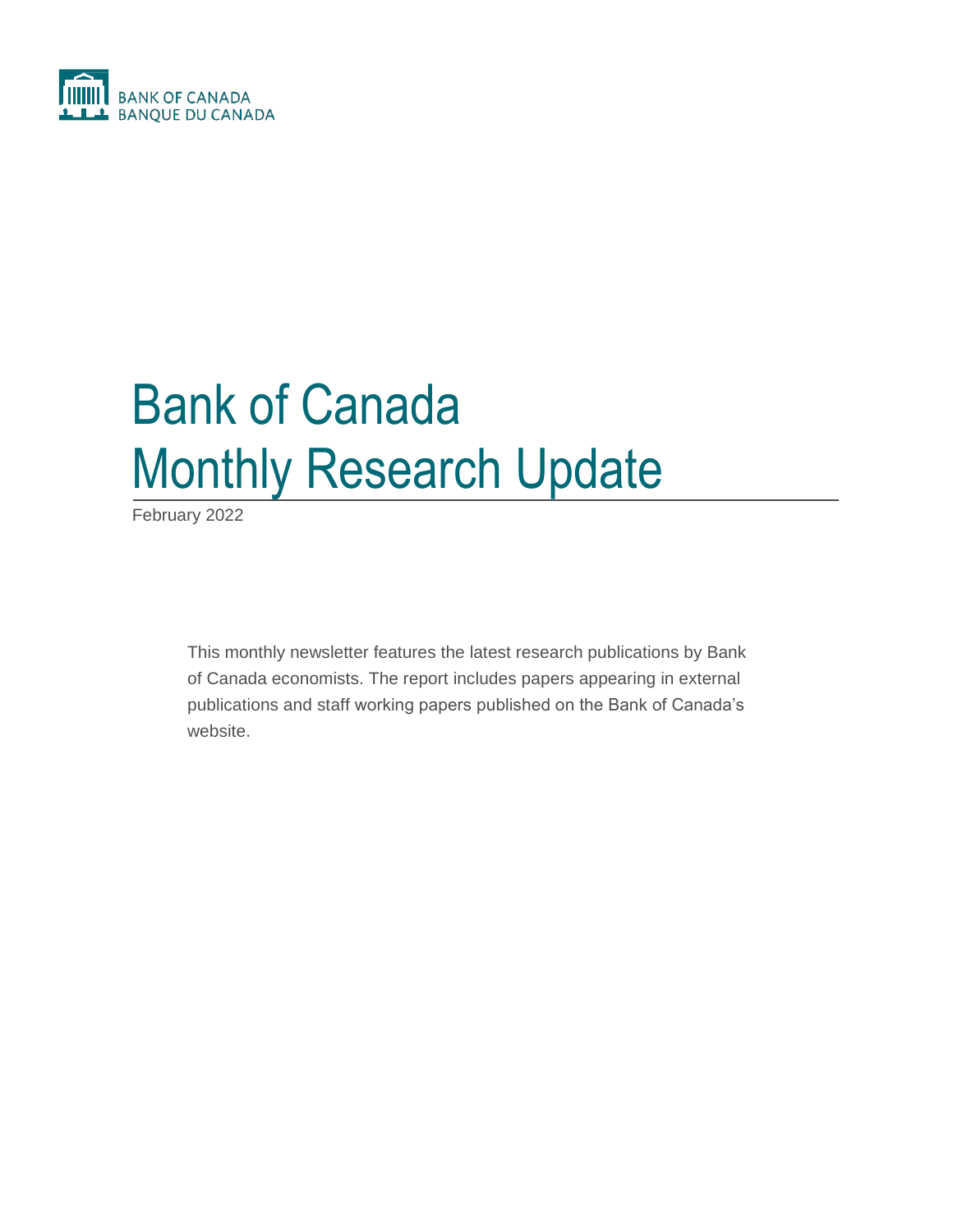

# Bank of Canada Monthly Research Update

February 2022

This monthly newsletter features the latest research publications by Bank of Canada economists. The report includes papers appearing in external publications and staff working papers published on the Bank of Canada's website.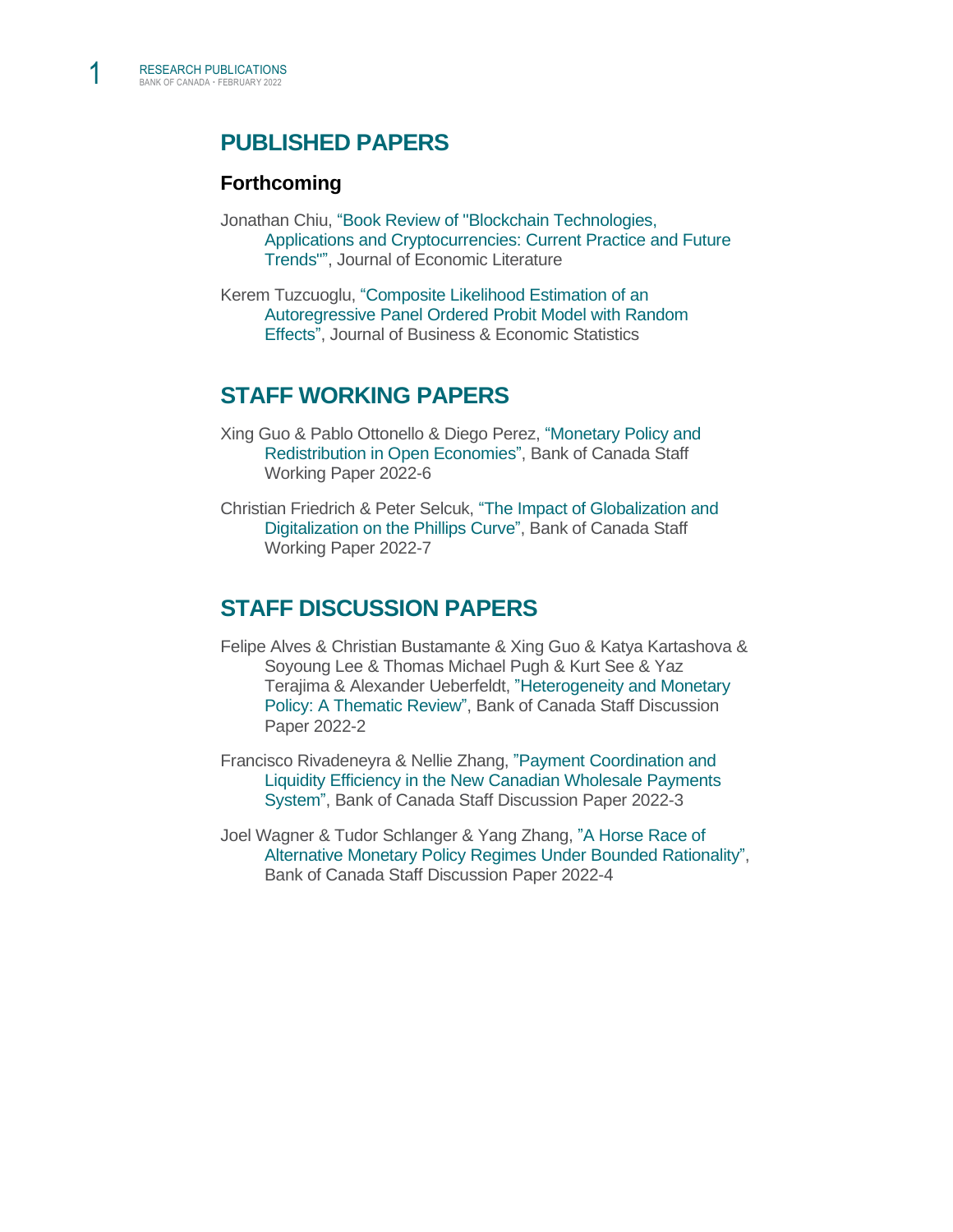1

# **PUBLISHED PAPERS**

## **Forthcoming**

- Jonathan Chiu, ["Book Review of "Blockchain Technologies,](https://pubs.aeaweb.org/doi/pdfplus/10.1257/jel.60.1.279)  [Applications and Cryptocurrencies: Current Practice and Future](https://pubs.aeaweb.org/doi/pdfplus/10.1257/jel.60.1.279)  [Trends"",](https://pubs.aeaweb.org/doi/pdfplus/10.1257/jel.60.1.279) Journal of Economic Literature
- Kerem Tuzcuoglu, ["Composite Likelihood Estimation of an](https://www.tandfonline.com/doi/full/10.1080/07350015.2022.2044829)  [Autoregressive Panel Ordered Probit Model with Random](https://www.tandfonline.com/doi/full/10.1080/07350015.2022.2044829)  [Effects",](https://www.tandfonline.com/doi/full/10.1080/07350015.2022.2044829) Journal of Business & Economic Statistics

## **STAFF WORKING PAPERS**

- Xing Guo & Pablo Ottonello & Diego Perez, ["Monetary Policy and](https://www.bankofcanada.ca/2022/02/staff-working-paper-2022-6/)  [Redistribution in Open Economies",](https://www.bankofcanada.ca/2022/02/staff-working-paper-2022-6/) Bank of Canada Staff Working Paper 2022-6
- Christian Friedrich & Peter Selcuk, ["The Impact of Globalization and](https://www.bankofcanada.ca/2022/02/staff-working-paper-2022-7/)  [Digitalization on the Phillips Curve",](https://www.bankofcanada.ca/2022/02/staff-working-paper-2022-7/) Bank of Canada Staff Working Paper 2022-7

# **STAFF DISCUSSION PAPERS**

- Felipe Alves & Christian Bustamante & Xing Guo & Katya Kartashova & Soyoung Lee & Thomas Michael Pugh & Kurt See & Yaz Terajima & Alexander Ueberfeldt, ["Heterogeneity and Monetary](https://www.bankofcanada.ca/2022/02/staff-discussion-paper-2022-2/)  [Policy: A Thematic Review",](https://www.bankofcanada.ca/2022/02/staff-discussion-paper-2022-2/) Bank of Canada Staff Discussion Paper 2022-2
- Francisco Rivadeneyra & Nellie Zhang, ["Payment Coordination and](https://www.bankofcanada.ca/2022/02/staff-discussion-paper-2022-3/)  [Liquidity Efficiency in the New Canadian Wholesale Payments](https://www.bankofcanada.ca/2022/02/staff-discussion-paper-2022-3/)  [System",](https://www.bankofcanada.ca/2022/02/staff-discussion-paper-2022-3/) Bank of Canada Staff Discussion Paper 2022-3
- Joel Wagner & Tudor Schlanger & Yang Zhang, ["A Horse Race of](https://www.bankofcanada.ca/2022/02/staff-discussion-paper-2022-4/)  [Alternative Monetary Policy Regimes Under Bounded Rationality",](https://www.bankofcanada.ca/2022/02/staff-discussion-paper-2022-4/) Bank of Canada Staff Discussion Paper 2022-4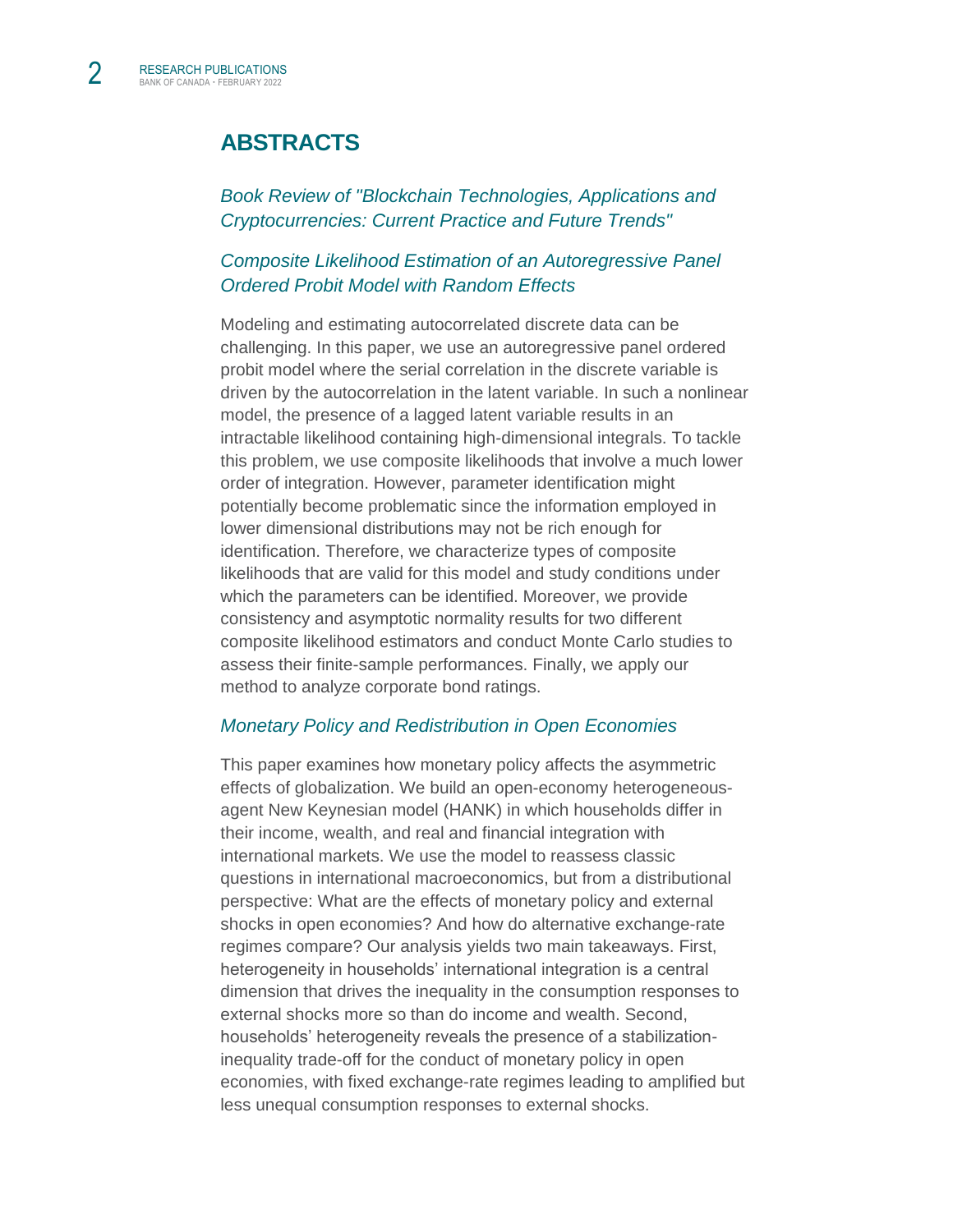# **ABSTRACTS**

*[Book Review of "Blockchain Technologies, Applications and](https://pubs.aeaweb.org/doi/pdfplus/10.1257/jel.60.1.279)  [Cryptocurrencies: Current Practice and Future Trends"](https://pubs.aeaweb.org/doi/pdfplus/10.1257/jel.60.1.279)*

### *[Composite Likelihood Estimation of an Autoregressive Panel](https://www.tandfonline.com/doi/full/10.1080/07350015.2022.2044829)  [Ordered Probit Model with Random Effects](https://www.tandfonline.com/doi/full/10.1080/07350015.2022.2044829)*

Modeling and estimating autocorrelated discrete data can be challenging. In this paper, we use an autoregressive panel ordered probit model where the serial correlation in the discrete variable is driven by the autocorrelation in the latent variable. In such a nonlinear model, the presence of a lagged latent variable results in an intractable likelihood containing high-dimensional integrals. To tackle this problem, we use composite likelihoods that involve a much lower order of integration. However, parameter identification might potentially become problematic since the information employed in lower dimensional distributions may not be rich enough for identification. Therefore, we characterize types of composite likelihoods that are valid for this model and study conditions under which the parameters can be identified. Moreover, we provide consistency and asymptotic normality results for two different composite likelihood estimators and conduct Monte Carlo studies to assess their finite-sample performances. Finally, we apply our method to analyze corporate bond ratings.

#### *[Monetary Policy and Redistribution in Open Economies](https://www.bankofcanada.ca/2022/02/staff-working-paper-2022-6/)*

This paper examines how monetary policy affects the asymmetric effects of globalization. We build an open-economy heterogeneousagent New Keynesian model (HANK) in which households differ in their income, wealth, and real and financial integration with international markets. We use the model to reassess classic questions in international macroeconomics, but from a distributional perspective: What are the effects of monetary policy and external shocks in open economies? And how do alternative exchange-rate regimes compare? Our analysis yields two main takeaways. First, heterogeneity in households' international integration is a central dimension that drives the inequality in the consumption responses to external shocks more so than do income and wealth. Second, households' heterogeneity reveals the presence of a stabilizationinequality trade-off for the conduct of monetary policy in open economies, with fixed exchange-rate regimes leading to amplified but less unequal consumption responses to external shocks.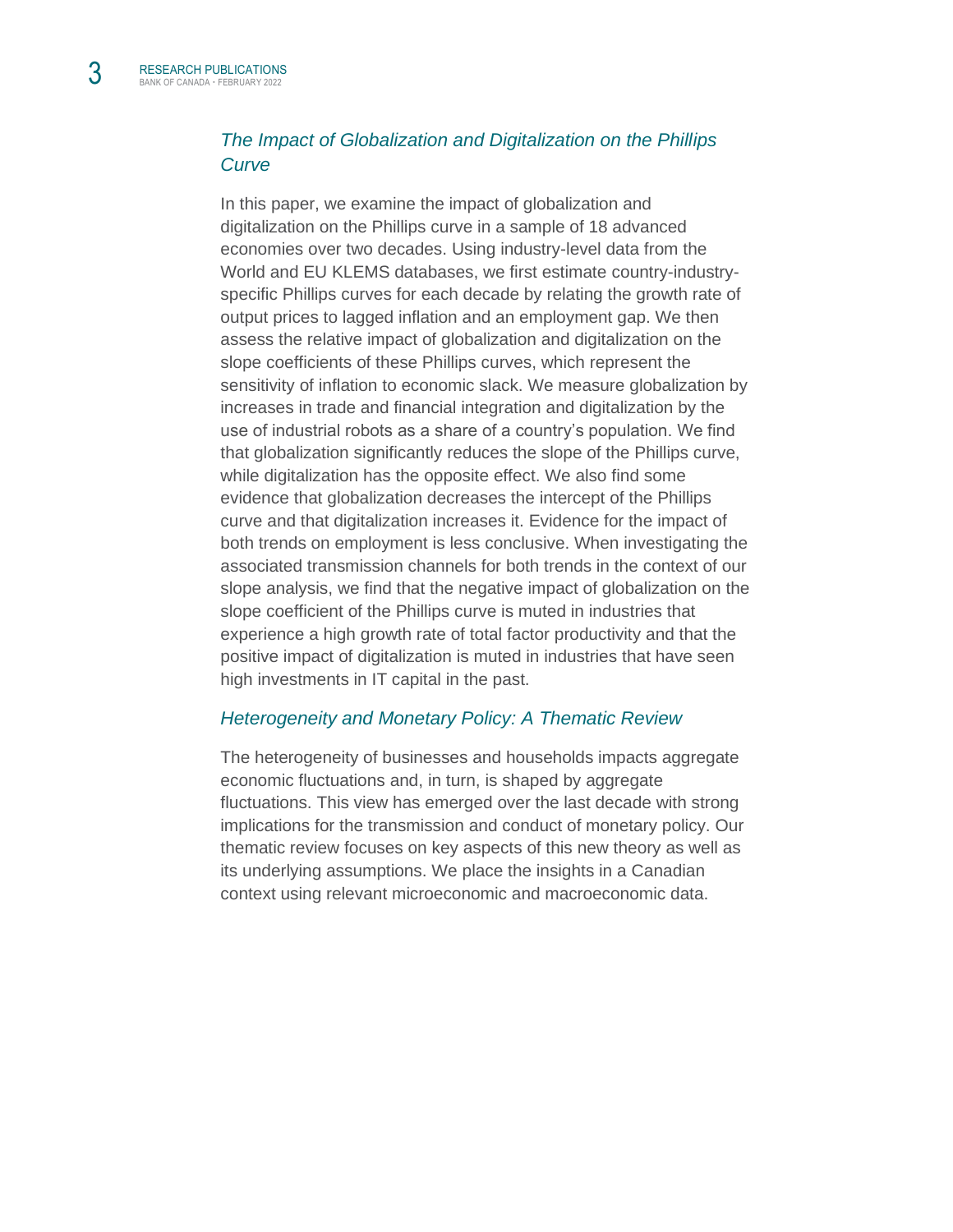3

## *[The Impact of Globalization and Digitalization on the Phillips](https://www.bankofcanada.ca/2022/02/staff-working-paper-2022-7/)  [Curve](https://www.bankofcanada.ca/2022/02/staff-working-paper-2022-7/)*

In this paper, we examine the impact of globalization and digitalization on the Phillips curve in a sample of 18 advanced economies over two decades. Using industry-level data from the World and EU KLEMS databases, we first estimate country-industryspecific Phillips curves for each decade by relating the growth rate of output prices to lagged inflation and an employment gap. We then assess the relative impact of globalization and digitalization on the slope coefficients of these Phillips curves, which represent the sensitivity of inflation to economic slack. We measure globalization by increases in trade and financial integration and digitalization by the use of industrial robots as a share of a country's population. We find that globalization significantly reduces the slope of the Phillips curve, while digitalization has the opposite effect. We also find some evidence that globalization decreases the intercept of the Phillips curve and that digitalization increases it. Evidence for the impact of both trends on employment is less conclusive. When investigating the associated transmission channels for both trends in the context of our slope analysis, we find that the negative impact of globalization on the slope coefficient of the Phillips curve is muted in industries that experience a high growth rate of total factor productivity and that the positive impact of digitalization is muted in industries that have seen high investments in IT capital in the past.

#### *[Heterogeneity and Monetary Policy: A Thematic Review](https://www.bankofcanada.ca/2022/02/staff-discussion-paper-2022-2/)*

The heterogeneity of businesses and households impacts aggregate economic fluctuations and, in turn, is shaped by aggregate fluctuations. This view has emerged over the last decade with strong implications for the transmission and conduct of monetary policy. Our thematic review focuses on key aspects of this new theory as well as its underlying assumptions. We place the insights in a Canadian context using relevant microeconomic and macroeconomic data.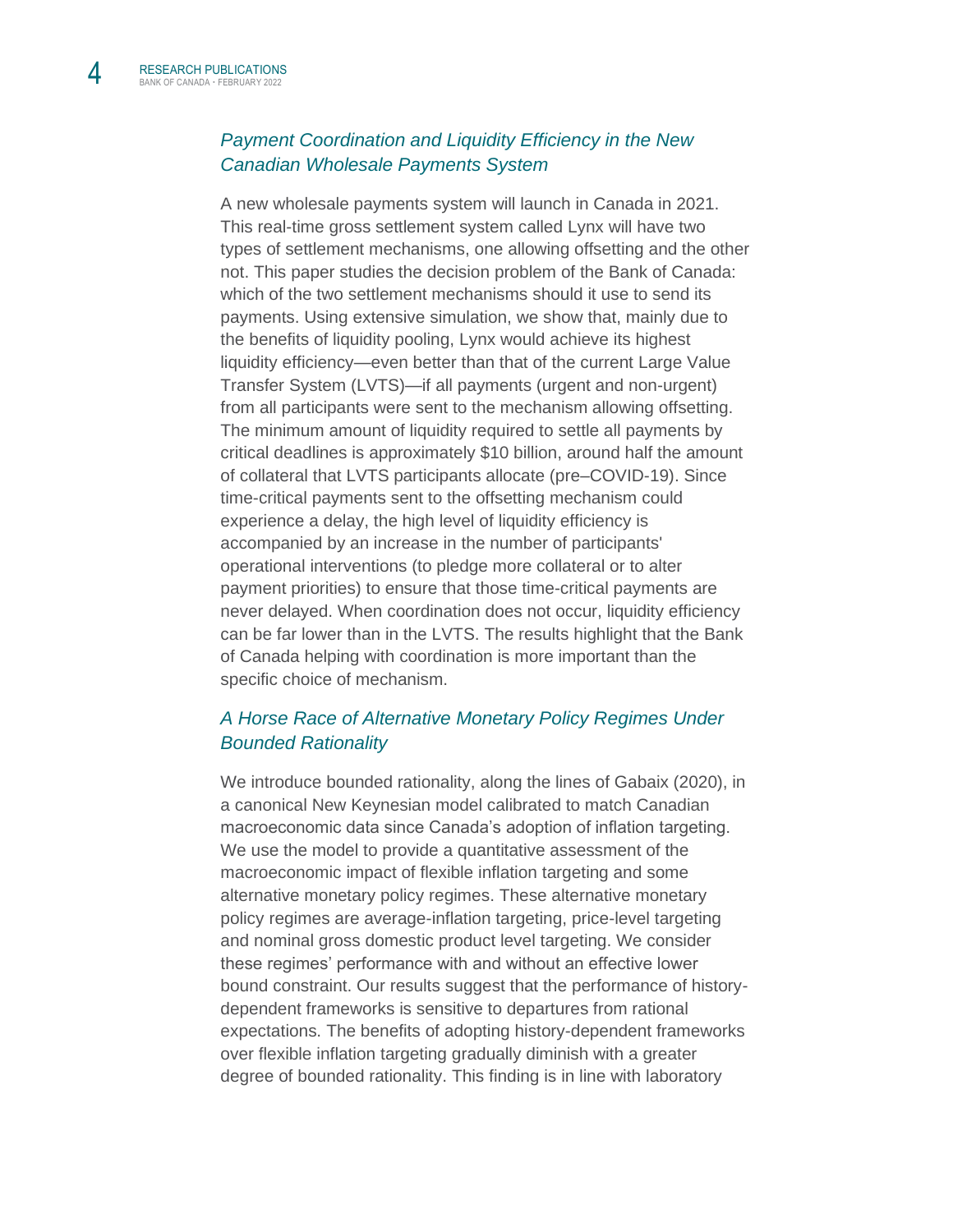## *[Payment Coordination and Liquidity Efficiency in the New](https://www.bankofcanada.ca/2022/02/staff-discussion-paper-2022-3/)  [Canadian Wholesale Payments System](https://www.bankofcanada.ca/2022/02/staff-discussion-paper-2022-3/)*

A new wholesale payments system will launch in Canada in 2021. This real-time gross settlement system called Lynx will have two types of settlement mechanisms, one allowing offsetting and the other not. This paper studies the decision problem of the Bank of Canada: which of the two settlement mechanisms should it use to send its payments. Using extensive simulation, we show that, mainly due to the benefits of liquidity pooling, Lynx would achieve its highest liquidity efficiency—even better than that of the current Large Value Transfer System (LVTS)—if all payments (urgent and non-urgent) from all participants were sent to the mechanism allowing offsetting. The minimum amount of liquidity required to settle all payments by critical deadlines is approximately \$10 billion, around half the amount of collateral that LVTS participants allocate (pre–COVID-19). Since time-critical payments sent to the offsetting mechanism could experience a delay, the high level of liquidity efficiency is accompanied by an increase in the number of participants' operational interventions (to pledge more collateral or to alter payment priorities) to ensure that those time-critical payments are never delayed. When coordination does not occur, liquidity efficiency can be far lower than in the LVTS. The results highlight that the Bank of Canada helping with coordination is more important than the specific choice of mechanism.

## *[A Horse Race of Alternative Monetary Policy Regimes Under](https://www.bankofcanada.ca/2022/02/staff-discussion-paper-2022-4/)  [Bounded Rationality](https://www.bankofcanada.ca/2022/02/staff-discussion-paper-2022-4/)*

We introduce bounded rationality, along the lines of Gabaix (2020), in a canonical New Keynesian model calibrated to match Canadian macroeconomic data since Canada's adoption of inflation targeting. We use the model to provide a quantitative assessment of the macroeconomic impact of flexible inflation targeting and some alternative monetary policy regimes. These alternative monetary policy regimes are average-inflation targeting, price-level targeting and nominal gross domestic product level targeting. We consider these regimes' performance with and without an effective lower bound constraint. Our results suggest that the performance of historydependent frameworks is sensitive to departures from rational expectations. The benefits of adopting history-dependent frameworks over flexible inflation targeting gradually diminish with a greater degree of bounded rationality. This finding is in line with laboratory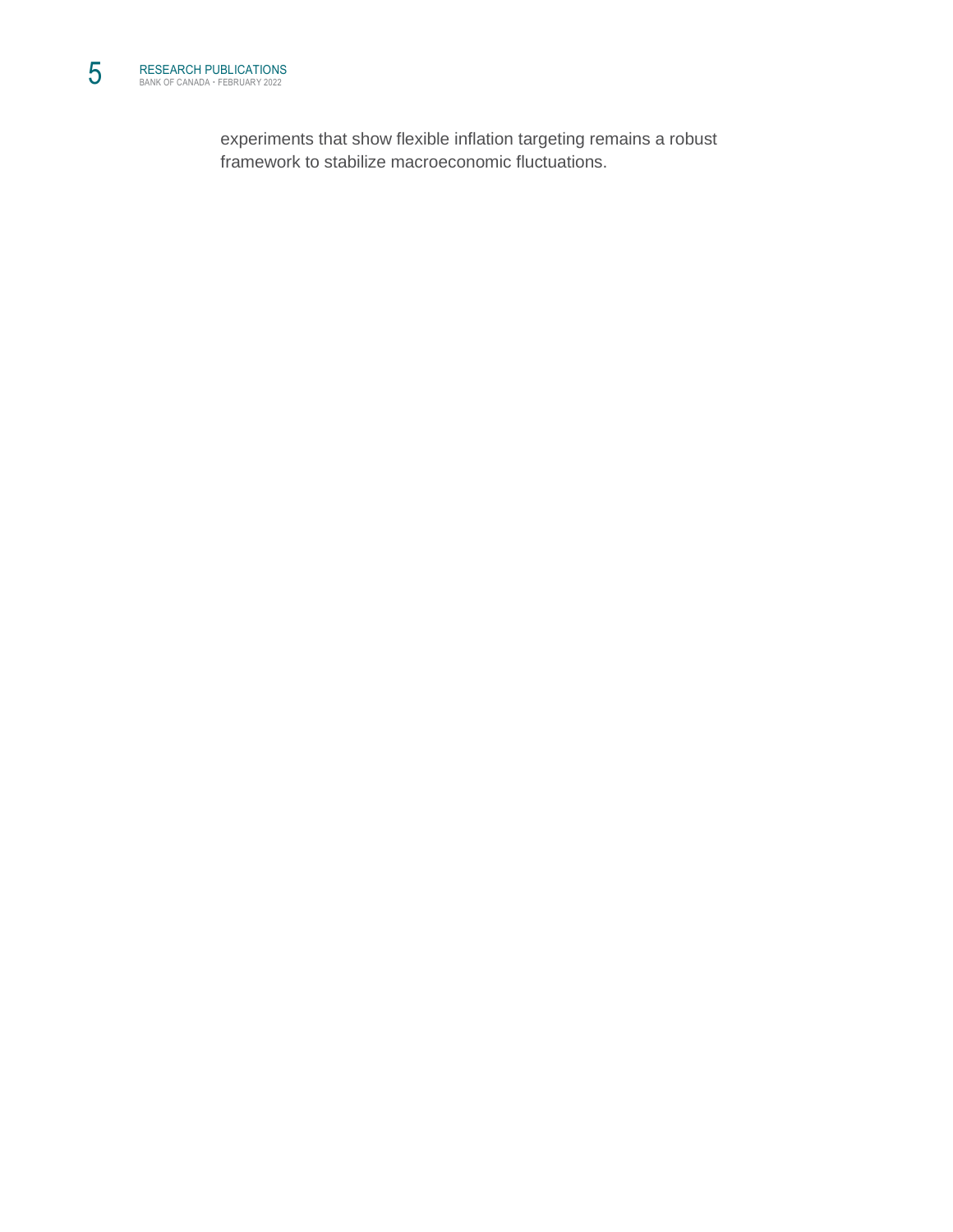experiments that show flexible inflation targeting remains a robust framework to stabilize macroeconomic fluctuations.